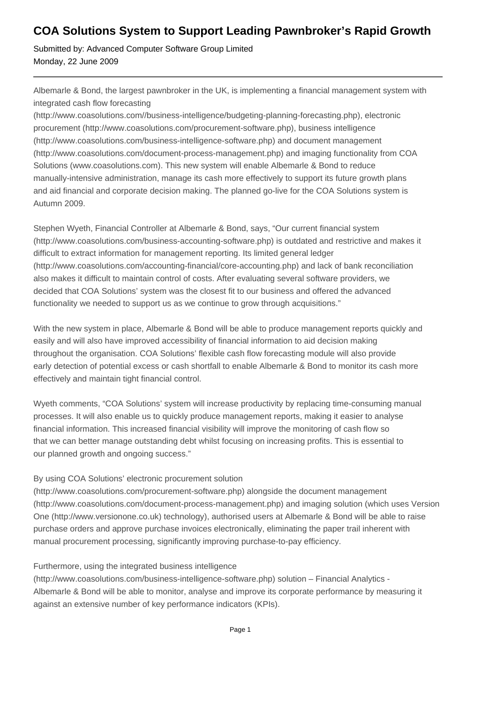# **COA Solutions System to Support Leading Pawnbroker's Rapid Growth**

Submitted by: Advanced Computer Software Group Limited Monday, 22 June 2009

Albemarle & Bond, the largest pawnbroker in the UK, is implementing a financial management system with integrated cash flow forecasting

(http://www.coasolutions.com//business-intelligence/budgeting-planning-forecasting.php), electronic procurement (http://www.coasolutions.com/procurement-software.php), business intelligence (http://www.coasolutions.com/business-intelligence-software.php) and document management (http://www.coasolutions.com/document-process-management.php) and imaging functionality from COA Solutions (www.coasolutions.com). This new system will enable Albemarle & Bond to reduce manually-intensive administration, manage its cash more effectively to support its future growth plans and aid financial and corporate decision making. The planned go-live for the COA Solutions system is Autumn 2009.

Stephen Wyeth, Financial Controller at Albemarle & Bond, says, "Our current financial system (http://www.coasolutions.com/business-accounting-software.php) is outdated and restrictive and makes it difficult to extract information for management reporting. Its limited general ledger (http://www.coasolutions.com/accounting-financial/core-accounting.php) and lack of bank reconciliation also makes it difficult to maintain control of costs. After evaluating several software providers, we decided that COA Solutions' system was the closest fit to our business and offered the advanced functionality we needed to support us as we continue to grow through acquisitions."

With the new system in place, Albemarle & Bond will be able to produce management reports quickly and easily and will also have improved accessibility of financial information to aid decision making throughout the organisation. COA Solutions' flexible cash flow forecasting module will also provide early detection of potential excess or cash shortfall to enable Albemarle & Bond to monitor its cash more effectively and maintain tight financial control.

Wyeth comments, "COA Solutions' system will increase productivity by replacing time-consuming manual processes. It will also enable us to quickly produce management reports, making it easier to analyse financial information. This increased financial visibility will improve the monitoring of cash flow so that we can better manage outstanding debt whilst focusing on increasing profits. This is essential to our planned growth and ongoing success."

## By using COA Solutions' electronic procurement solution

(http://www.coasolutions.com/procurement-software.php) alongside the document management (http://www.coasolutions.com/document-process-management.php) and imaging solution (which uses Version One (http://www.versionone.co.uk) technology), authorised users at Albemarle & Bond will be able to raise purchase orders and approve purchase invoices electronically, eliminating the paper trail inherent with manual procurement processing, significantly improving purchase-to-pay efficiency.

## Furthermore, using the integrated business intelligence

(http://www.coasolutions.com/business-intelligence-software.php) solution – Financial Analytics - Albemarle & Bond will be able to monitor, analyse and improve its corporate performance by measuring it against an extensive number of key performance indicators (KPIs).